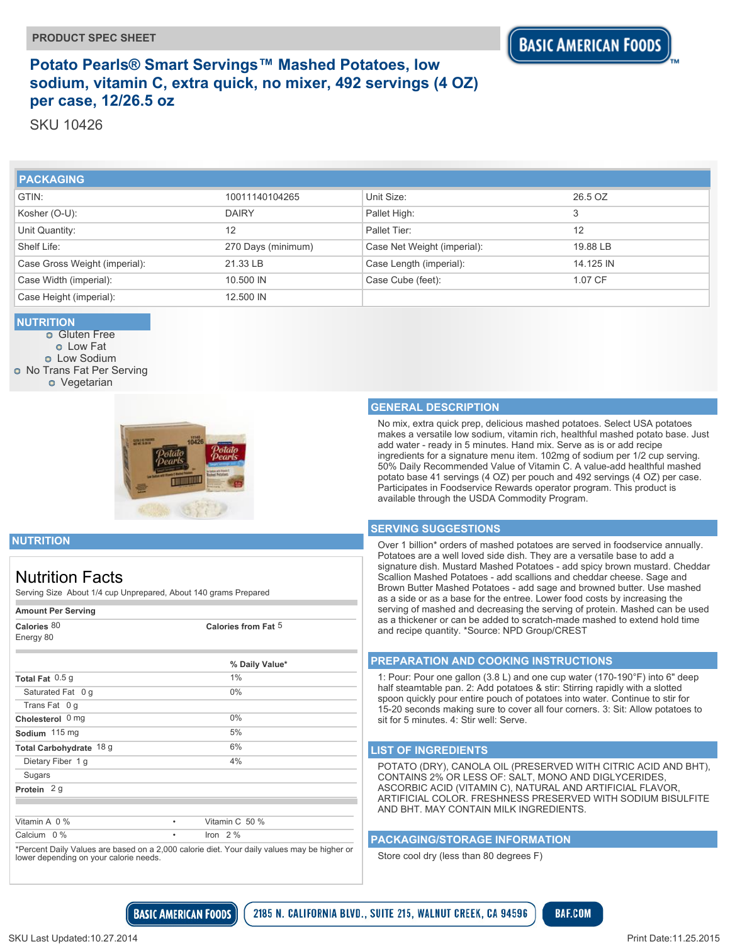## **Potato Pearls® Smart Servings™ Mashed Potatoes, low sodium, vitamin C, extra quick, no mixer, 492 servings (4 OZ) per case, 12/26.5 oz**

SKU 10426

| <b>PACKAGING</b>              |                    |                             |           |
|-------------------------------|--------------------|-----------------------------|-----------|
| GTIN:                         | 10011140104265     | Unit Size:                  | 26.5 OZ   |
| Kosher (O-U):                 | <b>DAIRY</b>       | Pallet High:                | 3         |
| Unit Quantity:                | 12                 | Pallet Tier:                | 12        |
| Shelf Life:                   | 270 Days (minimum) | Case Net Weight (imperial): | 19.88 LB  |
| Case Gross Weight (imperial): | 21.33 LB           | Case Length (imperial):     | 14.125 IN |
| Case Width (imperial):        | 10.500 IN          | Case Cube (feet):           | 1.07 CF   |
| Case Height (imperial):       | 12.500 IN          |                             |           |

### **NUTRITION**

**o** Gluten Free Low Fat **o** Low Sodium **O** No Trans Fat Per Serving **o** Vegetarian



### **GENERAL DESCRIPTION**

No mix, extra quick prep, delicious mashed potatoes. Select USA potatoes makes a versatile low sodium, vitamin rich, healthful mashed potato base. Just add water - ready in 5 minutes. Hand mix. Serve as is or add recipe ingredients for a signature menu item. 102mg of sodium per 1/2 cup serving. 50% Daily Recommended Value of Vitamin C. A value-add healthful mashed potato base 41 servings (4 OZ) per pouch and 492 servings (4 OZ) per case. Participates in Foodservice Rewards operator program. This product is available through the USDA Commodity Program.

#### **SERVING SUGGESTIONS**

Over 1 billion\* orders of mashed potatoes are served in foodservice annually. Potatoes are a well loved side dish. They are a versatile base to add a signature dish. Mustard Mashed Potatoes - add spicy brown mustard. Cheddar Scallion Mashed Potatoes - add scallions and cheddar cheese. Sage and Brown Butter Mashed Potatoes - add sage and browned butter. Use mashed as a side or as a base for the entree. Lower food costs by increasing the serving of mashed and decreasing the serving of protein. Mashed can be used as a thickener or can be added to scratch-made mashed to extend hold time and recipe quantity. \*Source: NPD Group/CREST

#### **PREPARATION AND COOKING INSTRUCTIONS**

1: Pour: Pour one gallon (3.8 L) and one cup water (170-190°F) into 6" deep half steamtable pan. 2: Add potatoes & stir: Stirring rapidly with a slotted spoon quickly pour entire pouch of potatoes into water. Continue to stir for 15-20 seconds making sure to cover all four corners. 3: Sit: Allow potatoes to sit for 5 minutes. 4: Stir well: Serve.

#### **LIST OF INGREDIENTS**

POTATO (DRY), CANOLA OIL (PRESERVED WITH CITRIC ACID AND BHT), CONTAINS 2% OR LESS OF: SALT, MONO AND DIGLYCERIDES, ASCORBIC ACID (VITAMIN C), NATURAL AND ARTIFICIAL FLAVOR, ARTIFICIAL COLOR. FRESHNESS PRESERVED WITH SODIUM BISULFITE AND BHT. MAY CONTAIN MILK INGREDIENTS.

**BAF.COM** 

#### **PACKAGING/STORAGE INFORMATION**

Store cool dry (less than 80 degrees F)

**NUTRITION**

# Nutrition Facts

Serving Size About 1/4 cup Unprepared, About 140 grams Prepared

#### **Amount Per Serving**

| Calories 80<br>Energy 80 | Calories from Fat 5 |
|--------------------------|---------------------|
|                          | % Daily Value*      |
| Total Fat 0.5 g          | 1%                  |
| Saturated Fat 0 g        | $0\%$               |
| Trans Fat 0 g            |                     |
| Cholesterol 0 mg         | $0\%$               |
| Sodium 115 mg            | 5%                  |
| Total Carbohydrate 18 g  | 6%                  |
| Dietary Fiber 1 g        | 4%                  |
| Sugars                   |                     |
| Protein 2g               |                     |
|                          |                     |
| Vitamin A 0 %            | Vitamin C 50 %<br>٠ |
| Calcium 0 %              | Iron $2\%$<br>٠     |

\*Percent Daily Values are based on a 2,000 calorie diet. Your daily values may be higher or lower depending on your calorie needs.

**BASIC AMERICAN FOODS** 

2185 N. CALIFORNIA BLVD., SUITE 215, WALNUT CREEK, CA 94596